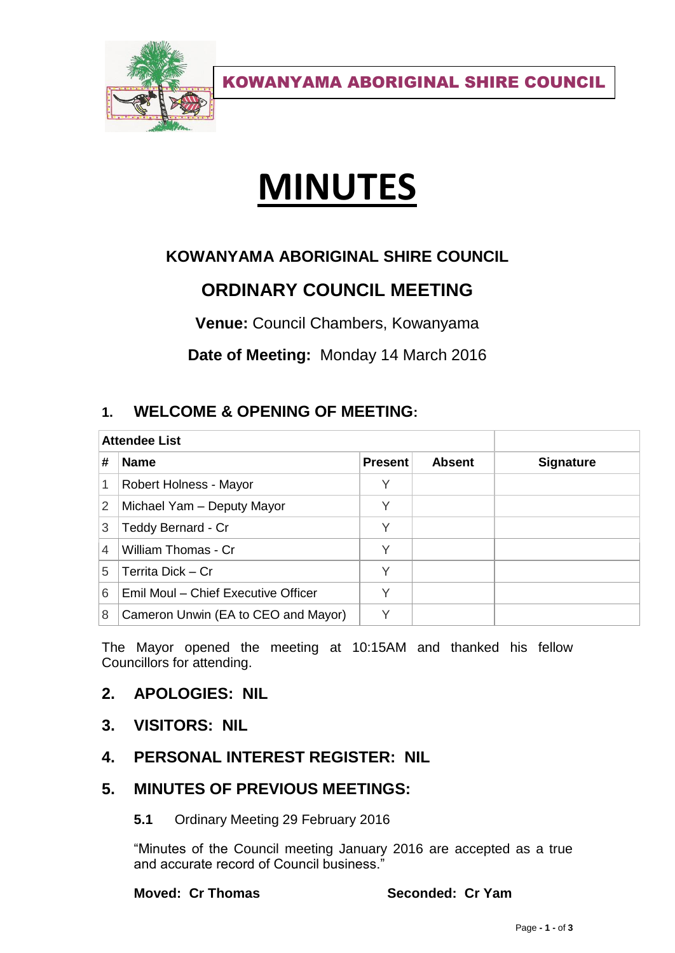

KOWANYAMA ABORIGINAL SHIRE COUNCIL

# **MINUTES**

# **KOWANYAMA ABORIGINAL SHIRE COUNCIL**

# **ORDINARY COUNCIL MEETING**

**Venue:** Council Chambers, Kowanyama

**Date of Meeting:** Monday 14 March 2016

# **1. WELCOME & OPENING OF MEETING:**

| <b>Attendee List</b> |                                     |                |               |                  |
|----------------------|-------------------------------------|----------------|---------------|------------------|
| #                    | <b>Name</b>                         | <b>Present</b> | <b>Absent</b> | <b>Signature</b> |
| 1                    | Robert Holness - Mayor              |                |               |                  |
| 2                    | Michael Yam - Deputy Mayor          | V              |               |                  |
| 3                    | Teddy Bernard - Cr                  | V              |               |                  |
| 4                    | William Thomas - Cr                 | Υ              |               |                  |
| 5                    | Territa Dick - Cr                   | V              |               |                  |
| 6                    | Emil Moul - Chief Executive Officer |                |               |                  |
| 8                    | Cameron Unwin (EA to CEO and Mayor) |                |               |                  |

The Mayor opened the meeting at 10:15AM and thanked his fellow Councillors for attending.

## **2. APOLOGIES: NIL**

- **3. VISITORS: NIL**
- **4. PERSONAL INTEREST REGISTER: NIL**

# **5. MINUTES OF PREVIOUS MEETINGS:**

**5.1** Ordinary Meeting 29 February 2016

"Minutes of the Council meeting January 2016 are accepted as a true and accurate record of Council business."

**Moved: Cr Thomas Seconded: Cr Yam**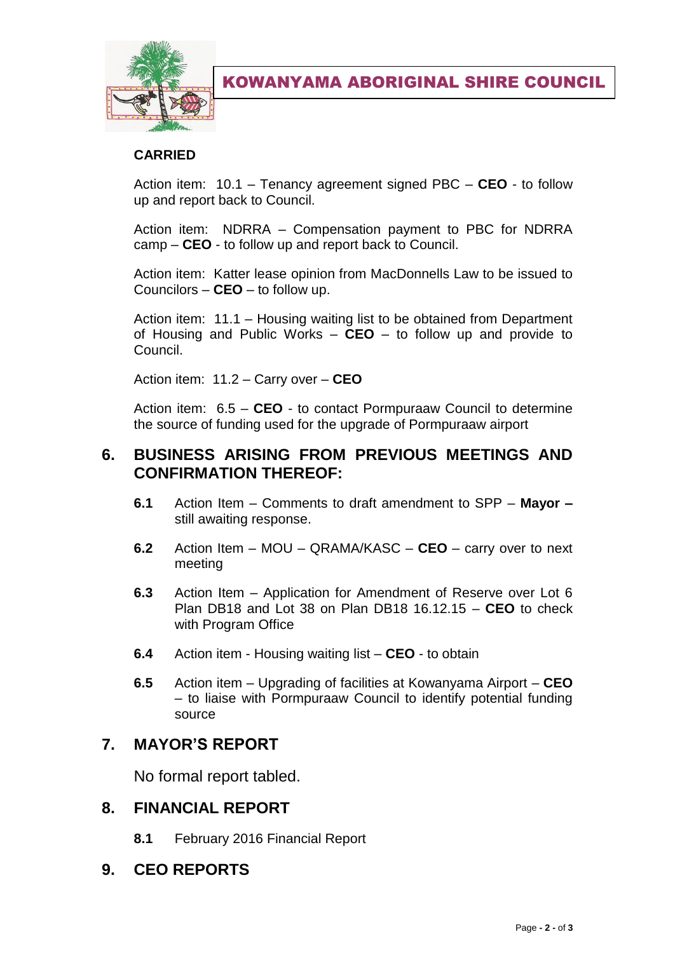

KOWANYAMA ABORIGINAL SHIRE COUNCIL

#### **CARRIED**

Action item: 10.1 – Tenancy agreement signed PBC – **CEO** - to follow up and report back to Council.

Action item: NDRRA – Compensation payment to PBC for NDRRA camp – **CEO** - to follow up and report back to Council.

Action item: Katter lease opinion from MacDonnells Law to be issued to Councilors – **CEO** – to follow up.

Action item: 11.1 – Housing waiting list to be obtained from Department of Housing and Public Works – **CEO** – to follow up and provide to Council.

Action item: 11.2 – Carry over – **CEO**

Action item: 6.5 – **CEO** - to contact Pormpuraaw Council to determine the source of funding used for the upgrade of Pormpuraaw airport

## **6. BUSINESS ARISING FROM PREVIOUS MEETINGS AND CONFIRMATION THEREOF:**

- **6.1** Action Item Comments to draft amendment to SPP **Mayor –** still awaiting response.
- **6.2** Action Item MOU QRAMA/KASC **CEO**  carry over to next meeting
- **6.3** Action Item Application for Amendment of Reserve over Lot 6 Plan DB18 and Lot 38 on Plan DB18 16.12.15 – **CEO** to check with Program Office
- **6.4** Action item Housing waiting list **CEO** to obtain
- **6.5** Action item Upgrading of facilities at Kowanyama Airport **CEO**  – to liaise with Pormpuraaw Council to identify potential funding source

## **7. MAYOR'S REPORT**

No formal report tabled.

## **8. FINANCIAL REPORT**

- **8.1** February 2016 Financial Report
- **9. CEO REPORTS**